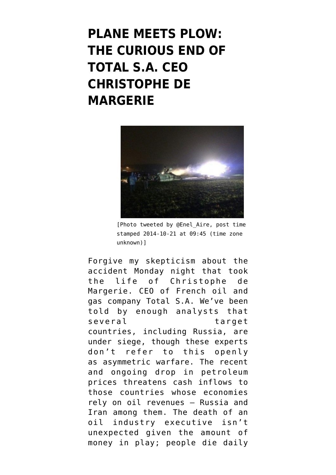## **[PLANE MEETS PLOW:](https://www.emptywheel.net/2014/10/22/plane-meets-plow-the-curious-end-of-total-s-a-ceo-christophe-de-margerie/) [THE CURIOUS END OF](https://www.emptywheel.net/2014/10/22/plane-meets-plow-the-curious-end-of-total-s-a-ceo-christophe-de-margerie/) [TOTAL S.A. CEO](https://www.emptywheel.net/2014/10/22/plane-meets-plow-the-curious-end-of-total-s-a-ceo-christophe-de-margerie/) [CHRISTOPHE DE](https://www.emptywheel.net/2014/10/22/plane-meets-plow-the-curious-end-of-total-s-a-ceo-christophe-de-margerie/) [MARGERIE](https://www.emptywheel.net/2014/10/22/plane-meets-plow-the-curious-end-of-total-s-a-ceo-christophe-de-margerie/)**



[Photo tweeted by @Enel\_Aire, post time stamped 2014-10-21 at 09:45 (time zone unknown)]

Forgive my skepticism about the accident Monday night that took the life of Christophe de Margerie. CEO of French oil and gas company [Total S.A.](https://en.wikipedia.org/wiki/Total_S.A.) We've been told by enough analysts that several target countries, [including Russia](http://www.russia-direct.org/analysis/price-oil-drops-so-do-hopes-russias-economic-future), are under siege, though these experts don't refer to this openly as asymmetric warfare. The recent and ongoing drop in petroleum prices [threatens cash inflows](http://www.nytimes.com/2014/10/16/world/europe/fall-in-oil-prices-poses-a-problem-for-russia-iraq-and-others.html?_r=0) to those countries whose economies rely on oil revenues — Russia and Iran among them. The death of an oil industry executive isn't unexpected given the amount of money in play; people die daily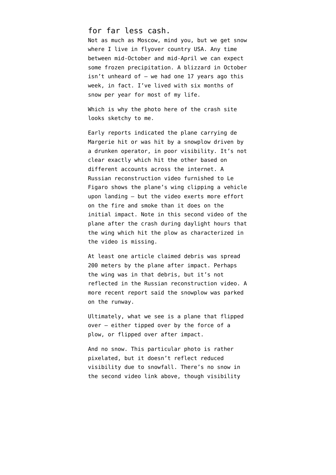## for far less cash.

Not as much as Moscow, mind you, but we get snow where I live in flyover country USA. Any time between mid-October and mid-April we can expect some frozen precipitation. A blizzard in October isn't unheard of — we had one 17 years ago this week, in fact. I've lived with six months of snow per year for most of my life.

Which is why [the photo here of the crash site](http://ow.ly/i/7irzh) looks sketchy to me.

Early reports indicated the plane carrying de Margerie hit or was hit by a snowplow driven by a drunken operator, in poor visibility. It's not clear exactly which hit the other based on different accounts across the internet. A [Russian reconstruction video](http://video.lefigaro.fr/figaro/video/mort-de-christophe-de-margerie-l-accident-reconstitue-en-3d/3850265095001/3/) furnished to Le Figaro shows the plane's wing clipping a vehicle upon landing — but the video exerts more effort on the fire and smoke than it does on the initial impact. Note in [this second video](http://video.lefigaro.fr/figaro/video/christophe-de-margerie-les-dernieres-images-de-l-accident/3850955303001/) of the plane after the crash during daylight hours that the wing which hit the plow as characterized in the video is missing.

At least one article claimed debris was spread 200 meters by the plane after impact. Perhaps the wing was in that debris, but it's not reflected in the Russian reconstruction video. A more recent report said the snowplow was parked on the runway.

Ultimately, what we see is a plane that flipped over — either tipped over by the force of a plow, or flipped over after impact.

And no snow. This particular photo is rather pixelated, but it doesn't reflect reduced visibility due to snowfall. There's no snow in the second video link above, though visibility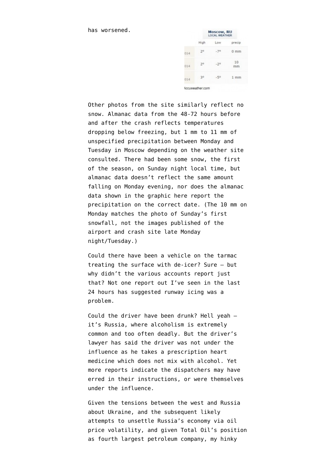has worsened.

|     | Moscow, RU<br><b>LOCAL WEATHER</b> |       |                |
|-----|------------------------------------|-------|----------------|
|     | High                               | Low   | precip         |
| 014 | $2^{\circ}$                        | $-70$ | $0 \text{ mm}$ |
| 014 | 2 <sup>°</sup>                     | $-20$ | 10<br>mm       |
| 014 | $-30$                              | $-50$ | $1$ mm         |

Other photos from the site similarly reflect no snow. Almanac data from the 48-72 hours before and after the crash reflects temperatures dropping below freezing, but 1 mm to 11 mm of unspecified precipitation between Monday and Tuesday in Moscow depending on the weather site consulted. There had been some snow, [the first](http://www.euronews.com/2014/10/20/the-first-snowfall-of-the-season-in-moscow-see-the-photo-gallery/) [of the season](http://www.euronews.com/2014/10/20/the-first-snowfall-of-the-season-in-moscow-see-the-photo-gallery/), on Sunday night local time, but almanac data doesn't reflect the same amount falling on Monday evening, nor does the almanac data shown in the graphic here report the precipitation on the correct date. (The 10 mm on Monday matches the photo of Sunday's first snowfall, not the images published of the airport and crash site late Monday night/Tuesday.)

Could there have been a vehicle on the tarmac treating the surface with de-icer? Sure — but why didn't the various accounts report just that? Not one report out I've seen in the last 24 hours has suggested runway icing was a problem.

Could the driver have been drunk? Hell yeah it's Russia, where [alcoholism is extremely](http://www.bbc.com/news/health-25961063) [common](http://www.bbc.com/news/health-25961063) and too often deadly. But the driver's lawyer has said the driver was not under the influence as he takes a prescription heart medicine which does not mix with alcohol. Yet more reports indicate the dispatchers may have erred in their instructions, or were themselves under the influence.

Given the tensions between the west and Russia about Ukraine, and the subsequent likely attempts to unsettle Russia's economy via oil price volatility, and given Total Oil's position as fourth largest petroleum company, my hinky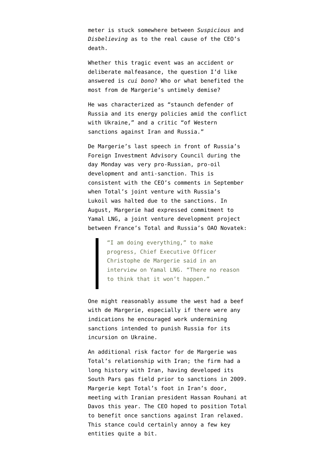meter is stuck somewhere between *Suspicious* and *Disbelieving* as to the real cause of the CEO's death.

Whether this tragic event was an accident or deliberate malfeasance, the question I'd like answered is *cui bono*? Who or what benefited the most from de Margerie's untimely demise?

He was characterized as "[staunch defender of](http://www.euronews.com/2014/10/21/total-oil-ceo-christophe-de-margerie-dies-in-moscow-plane-crash/) [Russia and its energy policies amid the conflict](http://www.euronews.com/2014/10/21/total-oil-ceo-christophe-de-margerie-dies-in-moscow-plane-crash/) [with Ukraine](http://www.euronews.com/2014/10/21/total-oil-ceo-christophe-de-margerie-dies-in-moscow-plane-crash/)," and a critic ["of Western](http://www.voanews.com/content/french-oil-ceo-killed-moscow-runway-crash/2490560.html) [sanctions against Iran and Russia.](http://www.voanews.com/content/french-oil-ceo-killed-moscow-runway-crash/2490560.html)"

De Margerie's last speech in front of Russia's Foreign Investment Advisory Council during the day Monday was very pro-Russian, pro-oil development and anti-sanction. This is consistent with the CEO's comments in September when [Total's joint venture with Russia's](http://www.ft.com/cms/s/0/49fba004-424d-11e4-a9f4-00144feabdc0.html) [Lukoil](http://www.ft.com/cms/s/0/49fba004-424d-11e4-a9f4-00144feabdc0.html) was halted due to the sanctions. In August, Margerie had [expressed commitment to](http://www.bloomberg.com/news/2014-08-29/total-stands-firm-on-russian-gas-project-amid-ukraine-escalation.html) [Yamal LNG,](http://www.bloomberg.com/news/2014-08-29/total-stands-firm-on-russian-gas-project-amid-ukraine-escalation.html) a joint venture development project between France's Total and Russia's OAO Novatek:

> "I am doing everything," to make progress, Chief Executive Officer Christophe de Margerie said in an interview on Yamal LNG. "There no reason to think that it won't happen."

One might reasonably assume the west had a beef with de Margerie, especially if there were any indications he encouraged work undermining sanctions intended to punish Russia for its incursion on Ukraine.

An additional risk factor for de Margerie was Total's relationship with Iran; the firm had a long history with Iran, having developed its South Pars gas field prior to sanctions in 2009. Margerie kept Total's foot in Iran's door, meeting with Iranian president Hassan Rouhani at Davos this year. The CEO [hoped to position Total](http://www.bloomberg.com/news/2014-01-24/iran-to-woo-oil-companies-with-sexy-contracts-total-ceo-says.html) [to benefit](http://www.bloomberg.com/news/2014-01-24/iran-to-woo-oil-companies-with-sexy-contracts-total-ceo-says.html) once sanctions against Iran relaxed. This stance could certainly annoy a few key entities quite a bit.